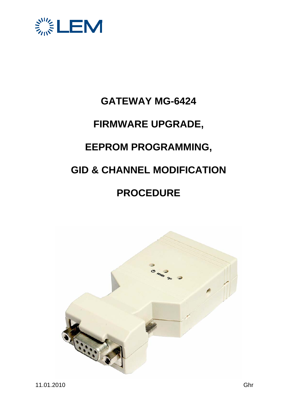

# **GATEWAY MG-6424 FIRMWARE UPGRADE, EEPROM PROGRAMMING, GID & CHANNEL MODIFICATION PROCEDURE**

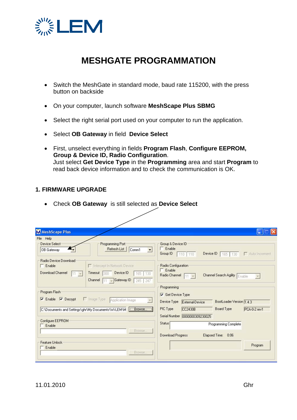

# **MESHGATE PROGRAMMATION**

- Switch the MeshGate in standard mode, baud rate 115200, with the press button on backside
- On your computer, launch software **MeshScape Plus SBMG**
- Select the right serial port used on your computer to run the application.
- Select **OB Gateway** in field **Device Select**
- First, unselect everything in fields **Program Flash**, **Configure EEPROM, Group & Device ID, Radio Configuration**. Just select **Get Device Type** in the **Programming** area and start **Program** to read back device information and to check the communication is OK.

## **1. FIRMWARE UPGRADE**

• Check **OB Gateway** is still selected as **Device Select**

| File Help<br>Device Select                                             | Programming Port<br>Refresh List                                                                              | Group & Device ID<br>Enable                             |                                        |
|------------------------------------------------------------------------|---------------------------------------------------------------------------------------------------------------|---------------------------------------------------------|----------------------------------------|
| OB Gateway                                                             | Comm1<br>$\overline{\phantom{a}}$                                                                             | Group ID<br>110 110                                     | Device ID<br>Auto Increment<br>165 130 |
| Radio Device Download<br>$\Gamma$ Enable<br>Download Channel<br>$11 -$ | Intercept In Network Device<br>Device ID<br>Timeout<br>165 130<br>300<br>$-$ Gateway ID<br>Channel<br>245 247 | Radio Configuration<br>$\Gamma$ Enable<br>Radio Channel | Channel Search Agility Enable          |
| Program Flash                                                          |                                                                                                               | Programming                                             |                                        |
| $\triangledown$ Enable $\triangledown$ Decrypt                         | I Image Type<br>Application Image<br>$\boldsymbol{\tau}$                                                      | Get Device Type<br>Device Type<br>External-Device       | BootLoader Version 1.4.3               |
|                                                                        | C:\Documents and Settings\ghr\My Documents\Wi-LEM\M [CEROWSE]                                                 | PIC Type<br>CC2430B                                     | <b>Board Type</b><br>PCA-0-2 rev1      |
|                                                                        |                                                                                                               | Serial Number 0000000309230025                          |                                        |
| Configure EEPROM<br>$E$ Enable                                         |                                                                                                               | <b>Status</b>                                           | Programming Complete                   |
|                                                                        | Browse.                                                                                                       | Download Progress                                       | Elapsed Time: 0:06                     |
|                                                                        |                                                                                                               |                                                         |                                        |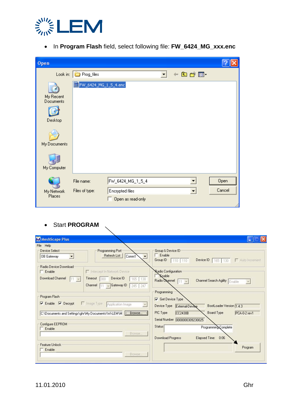

• In **Program Flash** field, select following file: **FW\_6424\_MG\_xxx.enc**

| Open                                                                    |                              |                   |   |       |        |
|-------------------------------------------------------------------------|------------------------------|-------------------|---|-------|--------|
|                                                                         | Look in: <b>C</b> Prog_files |                   | ▾ | ←由於国- |        |
| My Recent<br><b>Documents</b><br>Desktop<br>My Documents<br>My Computer | 6 FW_6424_MG_1_5_4.enc       |                   |   |       |        |
|                                                                         | File name:                   | FW_6424_MG_1_5_4  |   |       | Open   |
| My Network                                                              | Files of type:               | Encrypted files   |   | ▼     | Cancel |
| Places                                                                  |                              | Open as read-only |   |       |        |

• Start **PROGRAM** 

| M MeshScape Plus                                                                                                                                 |                                                                                                                                                                      |
|--------------------------------------------------------------------------------------------------------------------------------------------------|----------------------------------------------------------------------------------------------------------------------------------------------------------------------|
| File Help                                                                                                                                        |                                                                                                                                                                      |
| Programming Port-<br>Device Select<br>Refresh List<br>Comm1<br>OB Gateway<br>$\blacktriangledown$<br>Radio Device Download                       | Group & Device ID<br>$\Box$ Enable<br>Group ID<br>Device ID $\boxed{165}$ 130<br>Auto Increment<br>110 110                                                           |
| Intercept In Network Device<br>$\Gamma$ Enable<br>Download Channel<br>Device ID<br>Timeout<br>165 130<br>111<br>Channel<br>Gateway ID<br>245 247 | Radio Configuration<br><b>Knable</b><br>Radio Channel<br>Channel Search Agility Enable<br>$11 - 7$<br>$\mathbf{v}$<br>Programming                                    |
| Program Flash<br>$\overline{\triangledown}$ Enable $\overline{\triangledown}$ Decrypt<br>Image Type<br>Application Image                         | Get Device Type<br>BootLoader Version 1.4.3<br>Device Type<br>External-Device                                                                                        |
| C:\Documents and Settings\ghr\My Documents\Wi-LEM\M [CEROWSE<br>Configure EEPROM<br>Enable<br>Browse,                                            | PIC Type<br>Board Type<br>CC2430B<br>PCA-0-2 rev1<br>Serial Number 0000000309230025<br>Status <br>Programming Complete<br>Download Progress<br>Elapsed Time:<br>0:06 |
| Feature Unlock<br>Enable<br>Browse,                                                                                                              | Program                                                                                                                                                              |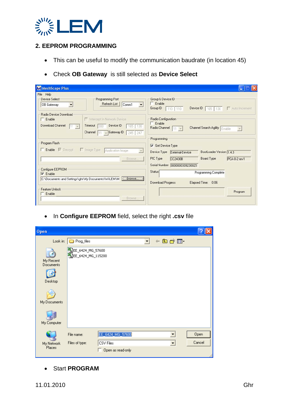

## **2. EEPROM PROGRAMMING**

- This can be useful to modify the communication baudrate (in location 45)
- Check **OB Gateway** is still selected as **Device Select**

| M MeshScape Plus                                                                                                                   |                                                                                                             |
|------------------------------------------------------------------------------------------------------------------------------------|-------------------------------------------------------------------------------------------------------------|
| File Help<br><b>Device Select</b><br>Programming Port<br>Refresh List<br>Comm1<br>OB Gateway<br>$\overline{\phantom{a}}$<br>▼      | Group & Device ID<br>$\Gamma$ Enable                                                                        |
| Radio Device Download<br>Intercept In Network Device<br>$\Box$ Enable                                                              | Group ID<br>Device ID   165  <br>Auto Increment<br>110 110<br>130<br>Radio Configuration<br>$\Gamma$ Enable |
| Download Channel<br>Device ID<br>Timeout<br>165<br>130<br>$11 -$<br>300<br>Channel<br>Gateway ID<br>245 247                        | Radio Channel<br>Channel Search Agility Enable<br>$11 -$<br>$\mathbf{v}$<br>Programming                     |
| Program Flash<br>Enable M Decrypt<br>□ Image Type<br>Application Image                                                             | Get Device Type<br>BootLoader Version 1.4.3<br>Device Type<br>External-Device                               |
| Browse<br>Configure EEPROM                                                                                                         | PIC Type<br>Board Type<br>CC2430B<br>PCA-0-2 rev1<br>Serial Number 0000000309230025                         |
| $\triangledown$ Enable<br>C:\Documents and Settings\ghr\My Documents\Wi-LEM\M [C:\Documents and Settings\ghr\My Documents\Wi-LEM\M | Status <sup>1</sup><br>Programming Complete<br>Download Progress<br>Elapsed Time: 0:06                      |
| Feature Unlock<br>Enable<br>Browse                                                                                                 | Program                                                                                                     |

• In **Configure EEPROM** field, select the right **.csv** file

| Open                                                             |                                                                                    |                |
|------------------------------------------------------------------|------------------------------------------------------------------------------------|----------------|
| Look in:                                                         | +自然图-<br>Prog_files<br>$\blacktriangledown$                                        |                |
| My Recent<br>Documents<br>Desktop<br>My Documents<br>My Computer | SEE_6424_MG_57600<br>SEE_6424_MG_115200                                            |                |
| My Network<br>Places                                             | EE_6424_MG_57600<br>File name:<br>Files of type:<br>CSV Files<br>Open as read-only | Open<br>Cancel |

• Start **PROGRAM**